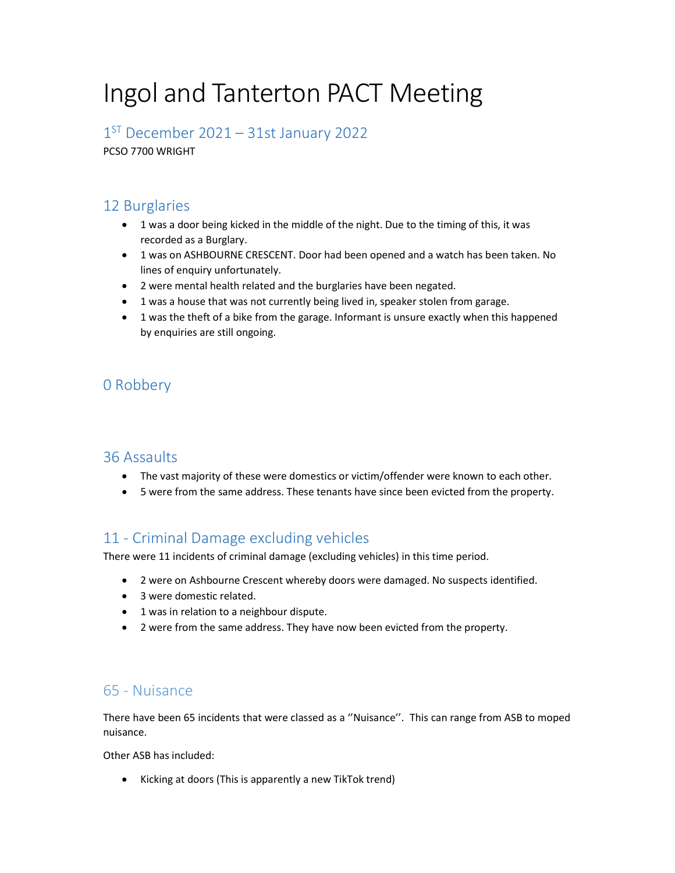# Ingol and Tanterton PACT Meeting

1 ST December 2021 – 31st January 2022

PCSO 7700 WRIGHT

## 12 Burglaries

- 1 was a door being kicked in the middle of the night. Due to the timing of this, it was recorded as a Burglary.
- 1 was on ASHBOURNE CRESCENT. Door had been opened and a watch has been taken. No lines of enquiry unfortunately.
- 2 were mental health related and the burglaries have been negated.
- 1 was a house that was not currently being lived in, speaker stolen from garage.
- 1 was the theft of a bike from the garage. Informant is unsure exactly when this happened by enquiries are still ongoing.

## 0 Robbery

#### 36 Assaults

- The vast majority of these were domestics or victim/offender were known to each other.
- 5 were from the same address. These tenants have since been evicted from the property.

## 11 - Criminal Damage excluding vehicles

There were 11 incidents of criminal damage (excluding vehicles) in this time period.

- 2 were on Ashbourne Crescent whereby doors were damaged. No suspects identified.
- 3 were domestic related.
- 1 was in relation to a neighbour dispute.
- 2 were from the same address. They have now been evicted from the property.

### 65 - Nuisance

There have been 65 incidents that were classed as a ''Nuisance''. This can range from ASB to moped nuisance.

Other ASB has included:

• Kicking at doors (This is apparently a new TikTok trend)